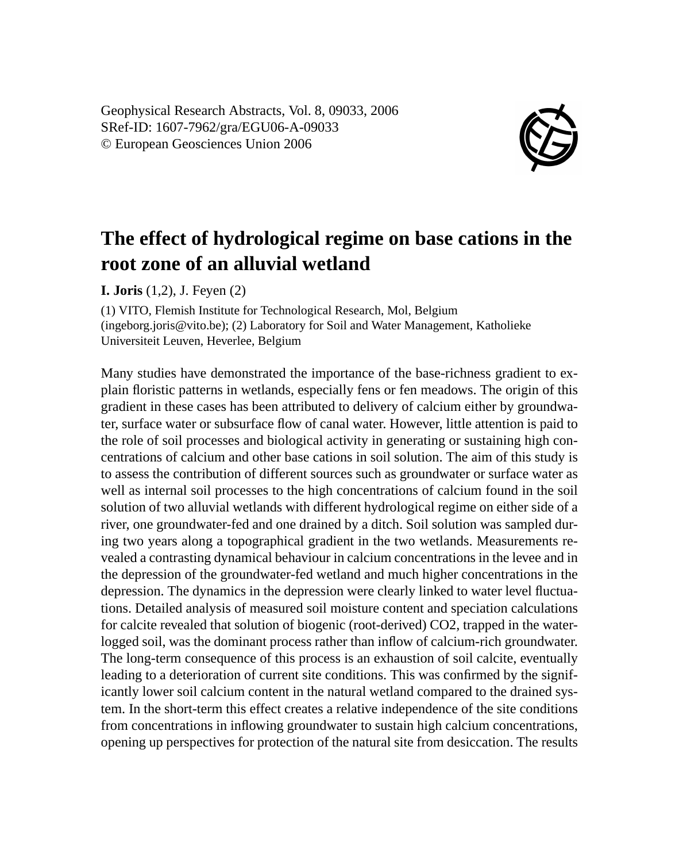Geophysical Research Abstracts, Vol. 8, 09033, 2006 SRef-ID: 1607-7962/gra/EGU06-A-09033 © European Geosciences Union 2006



## **The effect of hydrological regime on base cations in the root zone of an alluvial wetland**

**I. Joris** (1,2), J. Feyen (2)

(1) VITO, Flemish Institute for Technological Research, Mol, Belgium (ingeborg.joris@vito.be); (2) Laboratory for Soil and Water Management, Katholieke Universiteit Leuven, Heverlee, Belgium

Many studies have demonstrated the importance of the base-richness gradient to explain floristic patterns in wetlands, especially fens or fen meadows. The origin of this gradient in these cases has been attributed to delivery of calcium either by groundwater, surface water or subsurface flow of canal water. However, little attention is paid to the role of soil processes and biological activity in generating or sustaining high concentrations of calcium and other base cations in soil solution. The aim of this study is to assess the contribution of different sources such as groundwater or surface water as well as internal soil processes to the high concentrations of calcium found in the soil solution of two alluvial wetlands with different hydrological regime on either side of a river, one groundwater-fed and one drained by a ditch. Soil solution was sampled during two years along a topographical gradient in the two wetlands. Measurements revealed a contrasting dynamical behaviour in calcium concentrations in the levee and in the depression of the groundwater-fed wetland and much higher concentrations in the depression. The dynamics in the depression were clearly linked to water level fluctuations. Detailed analysis of measured soil moisture content and speciation calculations for calcite revealed that solution of biogenic (root-derived) CO2, trapped in the waterlogged soil, was the dominant process rather than inflow of calcium-rich groundwater. The long-term consequence of this process is an exhaustion of soil calcite, eventually leading to a deterioration of current site conditions. This was confirmed by the significantly lower soil calcium content in the natural wetland compared to the drained system. In the short-term this effect creates a relative independence of the site conditions from concentrations in inflowing groundwater to sustain high calcium concentrations, opening up perspectives for protection of the natural site from desiccation. The results